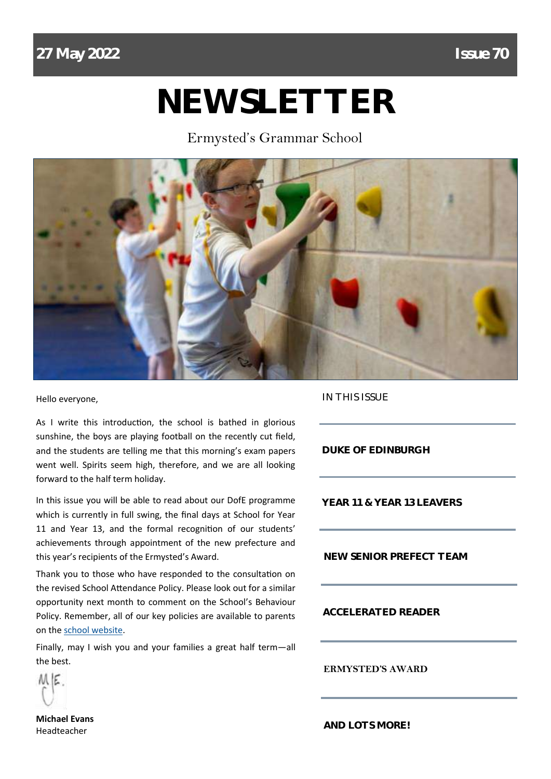# **NEWSLETTER**

Ermysted's Grammar School



Hello everyone,

As I write this introduction, the school is bathed in glorious sunshine, the boys are playing football on the recently cut field, and the students are telling me that this morning's exam papers went well. Spirits seem high, therefore, and we are all looking forward to the half term holiday.

In this issue you will be able to read about our DofE programme which is currently in full swing, the final days at School for Year 11 and Year 13, and the formal recognition of our students' achievements through appointment of the new prefecture and this year's recipients of the Ermysted's Award.

Thank you to those who have responded to the consultation on the revised School Attendance Policy. Please look out for a similar opportunity next month to comment on the School's Behaviour Policy. Remember, all of our key policies are available to parents on the [school website.](https://www.ermysteds.uk/about/school-policies/)

Finally, may I wish you and your families a great half term—all the best.

ME

**Michael Evans** Headteacher

IN THIS ISSUE

**DUKE OF EDINBURGH**

**YEAR 11 & YEAR 13 LEAVERS**

**NEW SENIOR PREFECT TEAM**

**ACCELERATED READER**

**ERMYSTED'S AWARD**

**AND LOTS MORE!**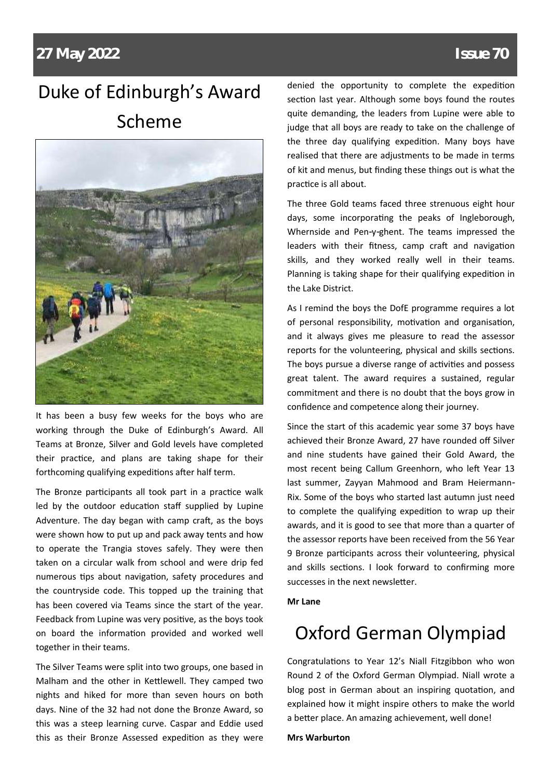## Duke of Edinburgh's Award Scheme



It has been a busy few weeks for the boys who are working through the Duke of Edinburgh's Award. All Teams at Bronze, Silver and Gold levels have completed their practice, and plans are taking shape for their forthcoming qualifying expeditions after half term.

The Bronze participants all took part in a practice walk led by the outdoor education staff supplied by Lupine Adventure. The day began with camp craft, as the boys were shown how to put up and pack away tents and how to operate the Trangia stoves safely. They were then taken on a circular walk from school and were drip fed numerous tips about navigation, safety procedures and the countryside code. This topped up the training that has been covered via Teams since the start of the year. Feedback from Lupine was very positive, as the boys took on board the information provided and worked well together in their teams.

The Silver Teams were split into two groups, one based in Malham and the other in Kettlewell. They camped two nights and hiked for more than seven hours on both days. Nine of the 32 had not done the Bronze Award, so this was a steep learning curve. Caspar and Eddie used this as their Bronze Assessed expedition as they were

denied the opportunity to complete the expedition section last year. Although some boys found the routes quite demanding, the leaders from Lupine were able to judge that all boys are ready to take on the challenge of the three day qualifying expedition. Many boys have realised that there are adjustments to be made in terms of kit and menus, but finding these things out is what the practice is all about.

The three Gold teams faced three strenuous eight hour days, some incorporating the peaks of Ingleborough, Whernside and Pen-y-ghent. The teams impressed the leaders with their fitness, camp craft and navigation skills, and they worked really well in their teams. Planning is taking shape for their qualifying expedition in the Lake District.

As I remind the boys the DofE programme requires a lot of personal responsibility, motivation and organisation, and it always gives me pleasure to read the assessor reports for the volunteering, physical and skills sections. The boys pursue a diverse range of activities and possess great talent. The award requires a sustained, regular commitment and there is no doubt that the boys grow in confidence and competence along their journey.

Since the start of this academic year some 37 boys have achieved their Bronze Award, 27 have rounded off Silver and nine students have gained their Gold Award, the most recent being Callum Greenhorn, who left Year 13 last summer, Zayyan Mahmood and Bram Heiermann-Rix. Some of the boys who started last autumn just need to complete the qualifying expedition to wrap up their awards, and it is good to see that more than a quarter of the assessor reports have been received from the 56 Year 9 Bronze participants across their volunteering, physical and skills sections. I look forward to confirming more successes in the next newsletter.

#### **Mr Lane**

### Oxford German Olympiad

Congratulations to Year 12's Niall Fitzgibbon who won Round 2 of the Oxford German Olympiad. Niall wrote a blog post in German about an inspiring quotation, and explained how it might inspire others to make the world a better place. An amazing achievement, well done!

**Mrs Warburton**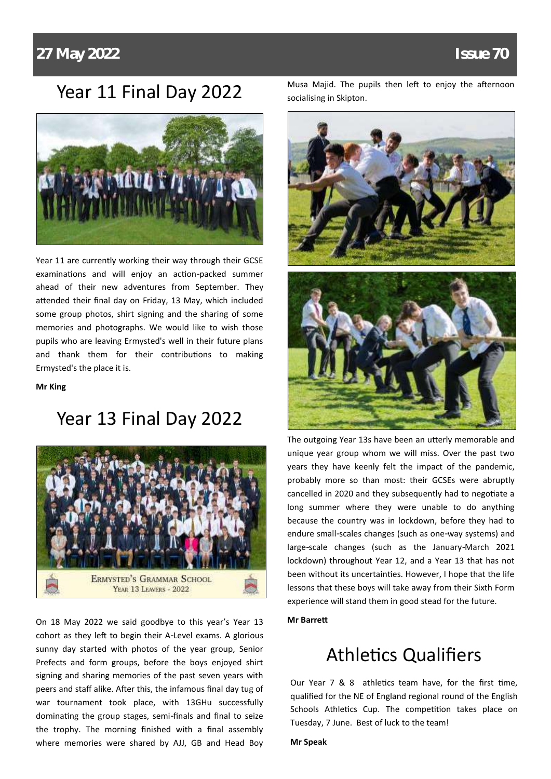#### Year 11 Final Day 2022



Year 11 are currently working their way through their GCSE examinations and will enjoy an action-packed summer ahead of their new adventures from September. They attended their final day on Friday, 13 May, which included some group photos, shirt signing and the sharing of some memories and photographs. We would like to wish those pupils who are leaving Ermysted's well in their future plans and thank them for their contributions to making Ermysted's the place it is.

**Mr King**

### Year 13 Final Day 2022



On 18 May 2022 we said goodbye to this year's Year 13 cohort as they left to begin their A-Level exams. A glorious sunny day started with photos of the year group, Senior Prefects and form groups, before the boys enjoyed shirt signing and sharing memories of the past seven years with peers and staff alike. After this, the infamous final day tug of war tournament took place, with 13GHu successfully dominating the group stages, semi-finals and final to seize the trophy. The morning finished with a final assembly where memories were shared by AJJ, GB and Head Boy Musa Majid. The pupils then left to enjoy the afternoon socialising in Skipton.



The outgoing Year 13s have been an utterly memorable and unique year group whom we will miss. Over the past two years they have keenly felt the impact of the pandemic, probably more so than most: their GCSEs were abruptly cancelled in 2020 and they subsequently had to negotiate a long summer where they were unable to do anything because the country was in lockdown, before they had to endure small-scales changes (such as one-way systems) and large-scale changes (such as the January-March 2021 lockdown) throughout Year 12, and a Year 13 that has not been without its uncertainties. However, I hope that the life lessons that these boys will take away from their Sixth Form experience will stand them in good stead for the future.

#### **Mr Barrett**

### Athletics Qualifiers

Our Year 7 & 8 athletics team have, for the first time, qualified for the NE of England regional round of the English Schools Athletics Cup. The competition takes place on Tuesday, 7 June. Best of luck to the team!

#### **Mr Speak**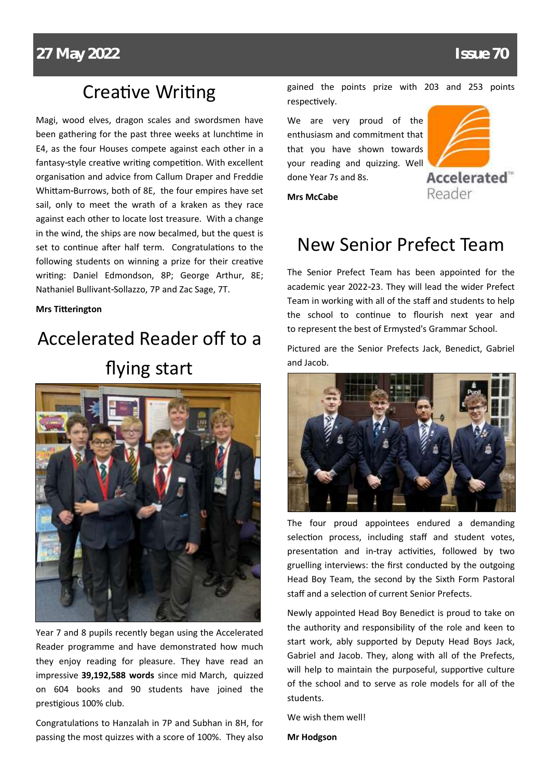### Creative Writing

Magi, wood elves, dragon scales and swordsmen have been gathering for the past three weeks at lunchtime in E4, as the four Houses compete against each other in a fantasy-style creative writing competition. With excellent organisation and advice from Callum Draper and Freddie Whittam-Burrows, both of 8E, the four empires have set sail, only to meet the wrath of a kraken as they race against each other to locate lost treasure. With a change in the wind, the ships are now becalmed, but the quest is set to continue after half term. Congratulations to the following students on winning a prize for their creative writing: Daniel Edmondson, 8P; George Arthur, 8E; Nathaniel Bullivant-Sollazzo, 7P and Zac Sage, 7T.

#### **Mrs Titterington**

## Accelerated Reader off to a flying start



Year 7 and 8 pupils recently began using the Accelerated Reader programme and have demonstrated how much they enjoy reading for pleasure. They have read an impressive **39,192,588 words** since mid March, quizzed on 604 books and 90 students have joined the prestigious 100% club.

Congratulations to Hanzalah in 7P and Subhan in 8H, for passing the most quizzes with a score of 100%. They also gained the points prize with 203 and 253 points respectively.

We are very proud of the enthusiasm and commitment that that you have shown towards your reading and quizzing. Well done Year 7s and 8s.



**Mrs McCabe**

### New Senior Prefect Team

The Senior Prefect Team has been appointed for the academic year 2022-23. They will lead the wider Prefect Team in working with all of the staff and students to help the school to continue to flourish next year and to represent the best of Ermysted's Grammar School.

Pictured are the Senior Prefects Jack, Benedict, Gabriel and Jacob.



The four proud appointees endured a demanding selection process, including staff and student votes, presentation and in-tray activities, followed by two gruelling interviews: the first conducted by the outgoing Head Boy Team, the second by the Sixth Form Pastoral staff and a selection of current Senior Prefects.

Newly appointed Head Boy Benedict is proud to take on the authority and responsibility of the role and keen to start work, ably supported by Deputy Head Boys Jack, Gabriel and Jacob. They, along with all of the Prefects, will help to maintain the purposeful, supportive culture of the school and to serve as role models for all of the students.

We wish them well!

**Mr Hodgson**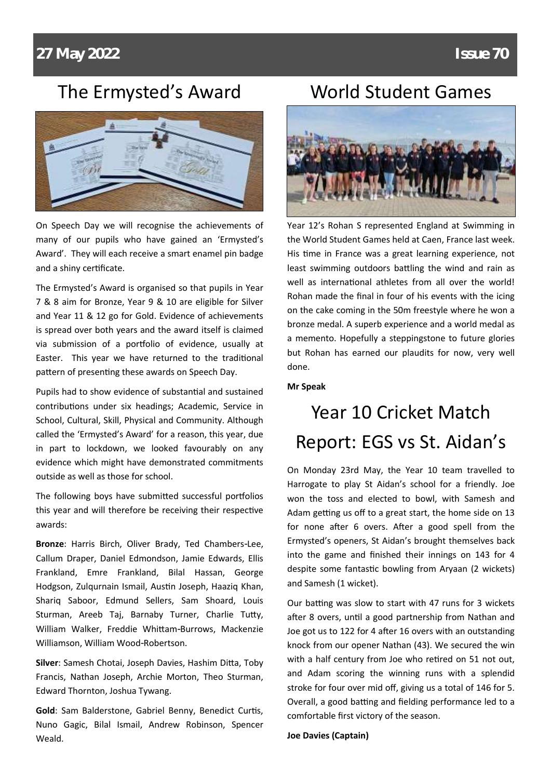### The Ermysted's Award



On Speech Day we will recognise the achievements of many of our pupils who have gained an 'Ermysted's Award'. They will each receive a smart enamel pin badge and a shiny certificate.

The Ermysted's Award is organised so that pupils in Year 7 & 8 aim for Bronze, Year 9 & 10 are eligible for Silver and Year 11 & 12 go for Gold. Evidence of achievements is spread over both years and the award itself is claimed via submission of a portfolio of evidence, usually at Easter. This year we have returned to the traditional pattern of presenting these awards on Speech Day.

Pupils had to show evidence of substantial and sustained contributions under six headings; Academic, Service in School, Cultural, Skill, Physical and Community. Although called the 'Ermysted's Award' for a reason, this year, due in part to lockdown, we looked favourably on any evidence which might have demonstrated commitments outside as well as those for school.

The following boys have submitted successful portfolios this year and will therefore be receiving their respective awards:

**Bronze**: Harris Birch, Oliver Brady, Ted Chambers-Lee, Callum Draper, Daniel Edmondson, Jamie Edwards, Ellis Frankland, Emre Frankland, Bilal Hassan, George Hodgson, Zulqurnain Ismail, Austin Joseph, Haaziq Khan, Shariq Saboor, Edmund Sellers, Sam Shoard, Louis Sturman, Areeb Taj, Barnaby Turner, Charlie Tutty, William Walker, Freddie Whittam-Burrows, Mackenzie Williamson, William Wood-Robertson.

**Silver**: Samesh Chotai, Joseph Davies, Hashim Ditta, Toby Francis, Nathan Joseph, Archie Morton, Theo Sturman, Edward Thornton, Joshua Tywang.

**Gold**: Sam Balderstone, Gabriel Benny, Benedict Curtis, Nuno Gagic, Bilal Ismail, Andrew Robinson, Spencer Weald.

#### World Student Games



Year 12's Rohan S represented England at Swimming in the World Student Games held at Caen, France last week. His time in France was a great learning experience, not least swimming outdoors battling the wind and rain as well as international athletes from all over the world! Rohan made the final in four of his events with the icing on the cake coming in the 50m freestyle where he won a bronze medal. A superb experience and a world medal as a memento. Hopefully a steppingstone to future glories but Rohan has earned our plaudits for now, very well done.

#### **Mr Speak**

## Year 10 Cricket Match Report: EGS vs St. Aidan's

On Monday 23rd May, the Year 10 team travelled to Harrogate to play St Aidan's school for a friendly. Joe won the toss and elected to bowl, with Samesh and Adam getting us off to a great start, the home side on 13 for none after 6 overs. After a good spell from the Ermysted's openers, St Aidan's brought themselves back into the game and finished their innings on 143 for 4 despite some fantastic bowling from Aryaan (2 wickets) and Samesh (1 wicket).

Our batting was slow to start with 47 runs for 3 wickets after 8 overs, until a good partnership from Nathan and Joe got us to 122 for 4 after 16 overs with an outstanding knock from our opener Nathan (43). We secured the win with a half century from Joe who retired on 51 not out, and Adam scoring the winning runs with a splendid stroke for four over mid off, giving us a total of 146 for 5. Overall, a good batting and fielding performance led to a comfortable first victory of the season.

**Joe Davies (Captain)**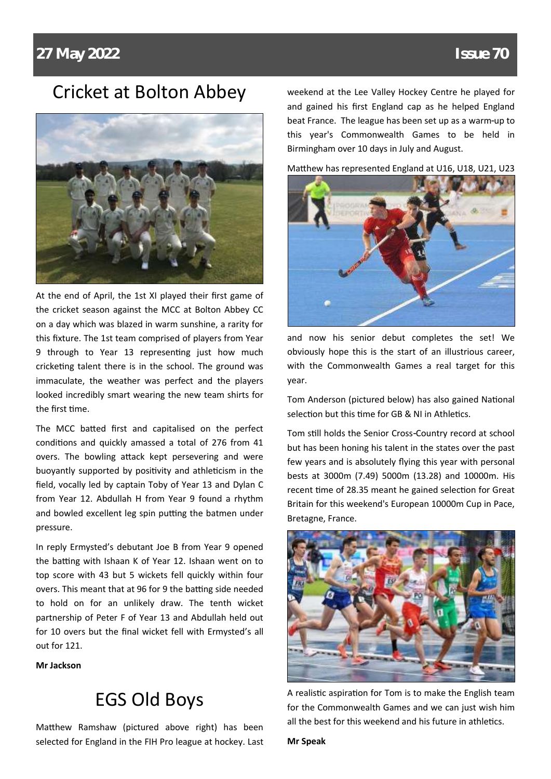#### Cricket at Bolton Abbey



At the end of April, the 1st XI played their first game of the cricket season against the MCC at Bolton Abbey CC on a day which was blazed in warm sunshine, a rarity for this fixture. The 1st team comprised of players from Year 9 through to Year 13 representing just how much cricketing talent there is in the school. The ground was immaculate, the weather was perfect and the players looked incredibly smart wearing the new team shirts for the first time.

The MCC batted first and capitalised on the perfect conditions and quickly amassed a total of 276 from 41 overs. The bowling attack kept persevering and were buoyantly supported by positivity and athleticism in the field, vocally led by captain Toby of Year 13 and Dylan C from Year 12. Abdullah H from Year 9 found a rhythm and bowled excellent leg spin putting the batmen under pressure.

In reply Ermysted's debutant Joe B from Year 9 opened the batting with Ishaan K of Year 12. Ishaan went on to top score with 43 but 5 wickets fell quickly within four overs. This meant that at 96 for 9 the batting side needed to hold on for an unlikely draw. The tenth wicket partnership of Peter F of Year 13 and Abdullah held out for 10 overs but the final wicket fell with Ermysted's all out for 121.

**Mr Jackson**

### EGS Old Boys

Matthew Ramshaw (pictured above right) has been selected for England in the FIH Pro league at hockey. Last weekend at the Lee Valley Hockey Centre he played for and gained his first England cap as he helped England beat France. The league has been set up as a warm-up to this year's Commonwealth Games to be held in Birmingham over 10 days in July and August.

Matthew has represented England at U16, U18, U21, U23



and now his senior debut completes the set! We obviously hope this is the start of an illustrious career, with the Commonwealth Games a real target for this year.

Tom Anderson (pictured below) has also gained National selection but this time for GB & NI in Athletics.

Tom still holds the Senior Cross-Country record at school but has been honing his talent in the states over the past few years and is absolutely flying this year with personal bests at 3000m (7.49) 5000m (13.28) and 10000m. His recent time of 28.35 meant he gained selection for Great Britain for this weekend's European 10000m Cup in Pace, Bretagne, France.



A realistic aspiration for Tom is to make the English team for the Commonwealth Games and we can just wish him all the best for this weekend and his future in athletics.

**Mr Speak**